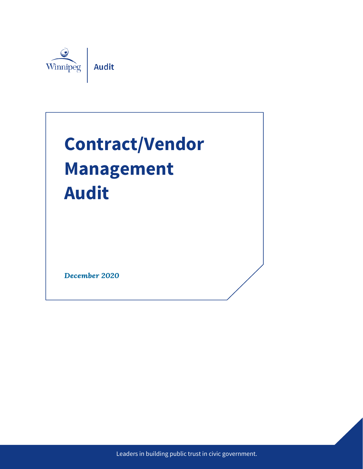

# **Contract/Vendor Management Audit**

December 2020

Leaders in building public trust in civic government.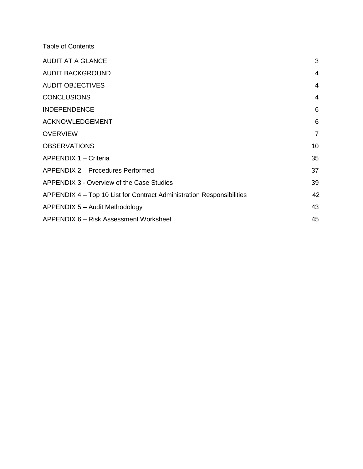Table of Contents

| <b>AUDIT AT A GLANCE</b>                                              | 3  |
|-----------------------------------------------------------------------|----|
| <b>AUDIT BACKGROUND</b>                                               | 4  |
| <b>AUDIT OBJECTIVES</b>                                               | 4  |
| <b>CONCLUSIONS</b>                                                    | 4  |
| <b>INDEPENDENCE</b>                                                   | 6  |
| <b>ACKNOWLEDGEMENT</b>                                                | 6  |
| <b>OVERVIEW</b>                                                       | 7  |
| <b>OBSERVATIONS</b>                                                   | 10 |
| APPENDIX 1 - Criteria                                                 | 35 |
| APPENDIX 2 - Procedures Performed                                     | 37 |
| APPENDIX 3 - Overview of the Case Studies                             | 39 |
| APPENDIX 4 – Top 10 List for Contract Administration Responsibilities | 42 |
| APPENDIX 5 - Audit Methodology                                        | 43 |
| APPENDIX 6 – Risk Assessment Worksheet                                | 45 |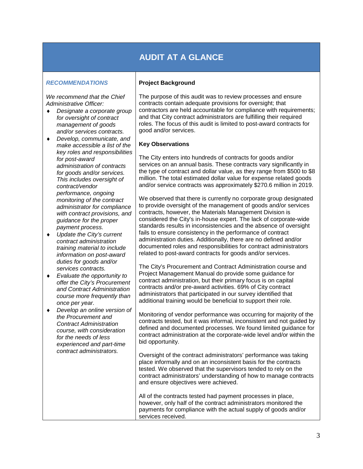## **AUDIT AT A GLANCE**

#### *RECOMMENDATIONS*

*We recommend that the Chief Administrative Officer:*

- ♦ *Designate a corporate group for oversight of contract management of goods and/or services contracts.*
- ♦ *Develop, communicate, and make accessible a list of the key roles and responsibilities for post-award administration of contracts for goods and/or services. This includes oversight of contract/vendor performance, ongoing monitoring of the contract administrator for compliance with contract provisions, and guidance for the proper payment process.*
- ♦ *Update the City's current contract administration training material to include information on post-award duties for goods and/or services contracts.*
- ♦ *Evaluate the opportunity to offer the City's Procurement and Contract Administration course more frequently than once per year.*
- ♦ *Develop an online version of the Procurement and Contract Administration course, with consideration for the needs of less experienced and part-time contract administrators.*

#### **Project Background**

The purpose of this audit was to review processes and ensure contracts contain adequate provisions for oversight; that contractors are held accountable for compliance with requirements; and that City contract administrators are fulfilling their required roles. The focus of this audit is limited to post-award contracts for good and/or services.

#### **Key Observations**

The City enters into hundreds of contracts for goods and/or services on an annual basis. These contracts vary significantly in the type of contract and dollar value, as they range from \$500 to \$8 million. The total estimated dollar value for expense related goods and/or service contracts was approximately \$270.6 million in 2019.

We observed that there is currently no corporate group designated to provide oversight of the management of goods and/or services contracts, however, the Materials Management Division is considered the City's in-house expert. The lack of corporate-wide standards results in inconsistencies and the absence of oversight fails to ensure consistency in the performance of contract administration duties. Additionally, there are no defined and/or documented roles and responsibilities for contract administrators related to post-award contracts for goods and/or services.

The City's Procurement and Contract Administration course and Project Management Manual do provide some guidance for contract administration, but their primary focus is on capital contracts and/or pre-award activities. 69% of City contract administrators that participated in our survey identified that additional training would be beneficial to support their role.

Monitoring of vendor performance was occurring for majority of the contracts tested, but it was informal, inconsistent and not guided by defined and documented processes. We found limited guidance for contract administration at the corporate-wide level and/or within the bid opportunity.

Oversight of the contract administrators' performance was taking place informally and on an inconsistent basis for the contracts tested. We observed that the supervisors tended to rely on the contract administrators' understanding of how to manage contracts and ensure objectives were achieved.

All of the contracts tested had payment processes in place, however, only half of the contract administrators monitored the payments for compliance with the actual supply of goods and/or services received.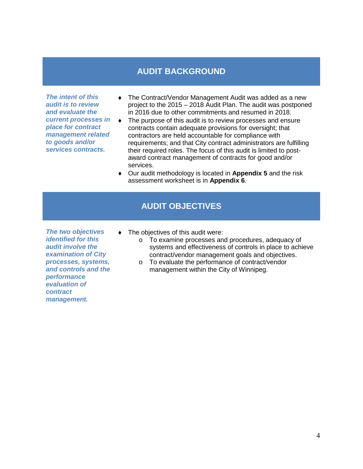## **AUDIT BACKGROUND**

*The intent of this audit is to review and evaluate the current processes in place for contract management related to goods and/or services contracts.* 

- ♦ The Contract/Vendor Management Audit was added as a new project to the 2015 – 2018 Audit Plan. The audit was postponed in 2016 due to other commitments and resumed in 2018.
- ♦ The purpose of this audit is to review processes and ensure contracts contain adequate provisions for oversight; that contractors are held accountable for compliance with requirements; and that City contract administrators are fulfilling their required roles. The focus of this audit is limited to postaward contract management of contracts for good and/or services.
- ♦ Our audit methodology is located in **Appendix 5** and the risk assessment worksheet is in **Appendix 6**.

## **AUDIT OBJECTIVES**

*The two objectives identified for this audit involve the examination of City processes, systems, and controls and the performance evaluation of contract management.*

- ♦ The objectives of this audit were:
	- o To examine processes and procedures, adequacy of systems and effectiveness of controls in place to achieve contract/vendor management goals and objectives.
	- o To evaluate the performance of contract/vendor management within the City of Winnipeg.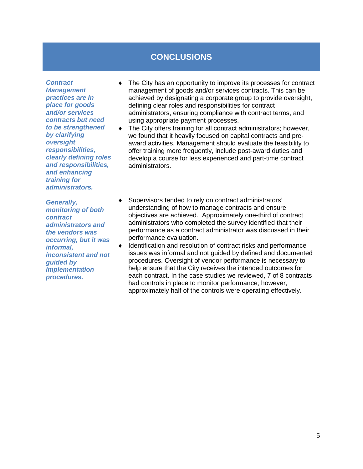## **CONCLUSIONS**

*Contract Management practices are in place for goods and/or services contracts but need to be strengthened by clarifying oversight responsibilities, clearly defining roles and responsibilities, and enhancing training for administrators.* 

*Generally, monitoring of both contract administrators and the vendors was occurring, but it was informal, inconsistent and not guided by implementation procedures.* 

- ♦ The City has an opportunity to improve its processes for contract management of goods and/or services contracts. This can be achieved by designating a corporate group to provide oversight, defining clear roles and responsibilities for contract administrators, ensuring compliance with contract terms, and using appropriate payment processes.
- ♦ The City offers training for all contract administrators; however, we found that it heavily focused on capital contracts and preaward activities. Management should evaluate the feasibility to offer training more frequently, include post-award duties and develop a course for less experienced and part-time contract administrators.
- ♦ Supervisors tended to rely on contract administrators' understanding of how to manage contracts and ensure objectives are achieved. Approximately one-third of contract administrators who completed the survey identified that their performance as a contract administrator was discussed in their performance evaluation.
- ♦ Identification and resolution of contract risks and performance issues was informal and not guided by defined and documented procedures. Oversight of vendor performance is necessary to help ensure that the City receives the intended outcomes for each contract. In the case studies we reviewed, 7 of 8 contracts had controls in place to monitor performance; however, approximately half of the controls were operating effectively.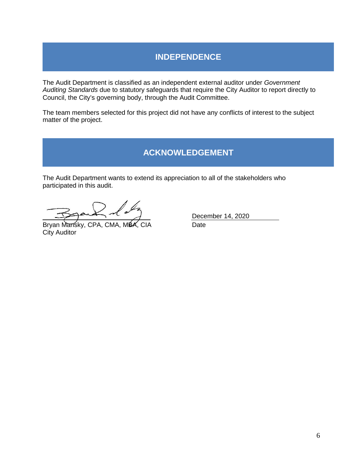## **INDEPENDENCE**

The Audit Department is classified as an independent external auditor under *Government Auditing Standards* due to statutory safeguards that require the City Auditor to report directly to Council, the City's governing body, through the Audit Committee.

The team members selected for this project did not have any conflicts of interest to the subject matter of the project.

## **ACKNOWLEDGEMENT**

The Audit Department wants to extend its appreciation to all of the stakeholders who participated in this audit.

Bryan Mansky, CPA, CMA, MBA, CIA Date City Auditor

December 14, 2020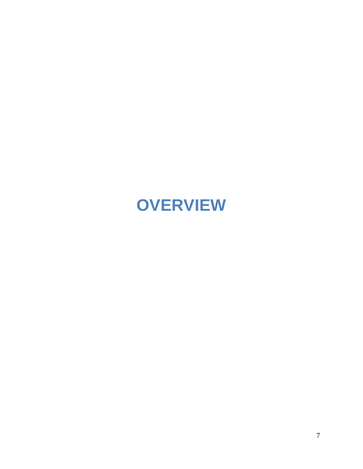## **OVERVIEW**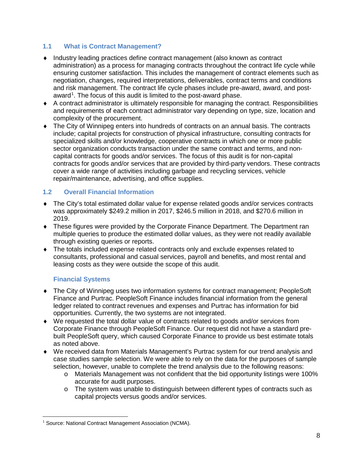#### **1.1 What is Contract Management?**

- ♦ Industry leading practices define contract management (also known as contract administration) as a process for managing contracts throughout the contract life cycle while ensuring customer satisfaction. This includes the management of contract elements such as negotiation, changes, required interpretations, deliverables, contract terms and conditions and risk management. The contract life cycle phases include pre-award, award, and post-award<sup>[1](#page-7-0)</sup>. The focus of this audit is limited to the post-award phase.
- ♦ A contract administrator is ultimately responsible for managing the contract. Responsibilities and requirements of each contract administrator vary depending on type, size, location and complexity of the procurement.
- ♦ The City of Winnipeg enters into hundreds of contracts on an annual basis. The contracts include; capital projects for construction of physical infrastructure, consulting contracts for specialized skills and/or knowledge, cooperative contracts in which one or more public sector organization conducts transaction under the same contract and terms, and noncapital contracts for goods and/or services. The focus of this audit is for non-capital contracts for goods and/or services that are provided by third-party vendors. These contracts cover a wide range of activities including garbage and recycling services, vehicle repair/maintenance, advertising, and office supplies.

#### **1.2 Overall Financial Information**

- ♦ The City's total estimated dollar value for expense related goods and/or services contracts was approximately \$249.2 million in 2017, \$246.5 million in 2018, and \$270.6 million in 2019.
- ♦ These figures were provided by the Corporate Finance Department. The Department ran multiple queries to produce the estimated dollar values, as they were not readily available through existing queries or reports.
- ♦ The totals included expense related contracts only and exclude expenses related to consultants, professional and casual services, payroll and benefits, and most rental and leasing costs as they were outside the scope of this audit.

#### **Financial Systems**

- ♦ The City of Winnipeg uses two information systems for contract management; PeopleSoft Finance and Purtrac. PeopleSoft Finance includes financial information from the general ledger related to contract revenues and expenses and Purtrac has information for bid opportunities. Currently, the two systems are not integrated.
- ♦ We requested the total dollar value of contracts related to goods and/or services from Corporate Finance through PeopleSoft Finance. Our request did not have a standard prebuilt PeopleSoft query, which caused Corporate Finance to provide us best estimate totals as noted above.
- ♦ We received data from Materials Management's Purtrac system for our trend analysis and case studies sample selection. We were able to rely on the data for the purposes of sample selection, however, unable to complete the trend analysis due to the following reasons:
	- o Materials Management was not confident that the bid opportunity listings were 100% accurate for audit purposes.
	- $\circ$  The system was unable to distinguish between different types of contracts such as capital projects versus goods and/or services.

<span id="page-7-0"></span> $\overline{a}$ <sup>1</sup> Source: National Contract Management Association (NCMA).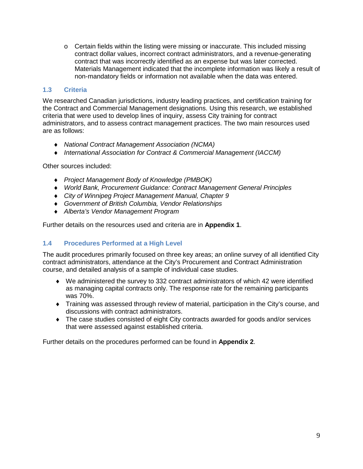$\circ$  Certain fields within the listing were missing or inaccurate. This included missing contract dollar values, incorrect contract administrators, and a revenue-generating contract that was incorrectly identified as an expense but was later corrected. Materials Management indicated that the incomplete information was likely a result of non-mandatory fields or information not available when the data was entered.

#### **1.3 Criteria**

We researched Canadian jurisdictions, industry leading practices, and certification training for the Contract and Commercial Management designations. Using this research, we established criteria that were used to develop lines of inquiry, assess City training for contract administrators, and to assess contract management practices. The two main resources used are as follows:

- ♦ *National Contract Management Association (NCMA)*
- ♦ *International Association for Contract & Commercial Management (IACCM)*

Other sources included:

- ♦ *Project Management Body of Knowledge (PMBOK)*
- ♦ *World Bank, Procurement Guidance: Contract Management General Principles*
- ♦ *City of Winnipeg Project Management Manual, Chapter 9*
- ♦ *Government of British Columbia, Vendor Relationships*
- ♦ *Alberta's Vendor Management Program*

Further details on the resources used and criteria are in **Appendix 1**.

#### **1.4 Procedures Performed at a High Level**

The audit procedures primarily focused on three key areas; an online survey of all identified City contract administrators, attendance at the City's Procurement and Contract Administration course, and detailed analysis of a sample of individual case studies.

- ♦ We administered the survey to 332 contract administrators of which 42 were identified as managing capital contracts only. The response rate for the remaining participants was 70%.
- ♦ Training was assessed through review of material, participation in the City's course, and discussions with contract administrators.
- ♦ The case studies consisted of eight City contracts awarded for goods and/or services that were assessed against established criteria.

Further details on the procedures performed can be found in **Appendix 2**.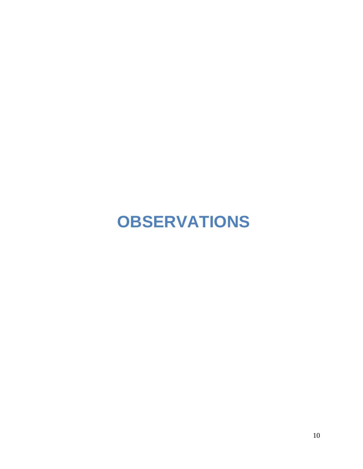## **OBSERVATIONS**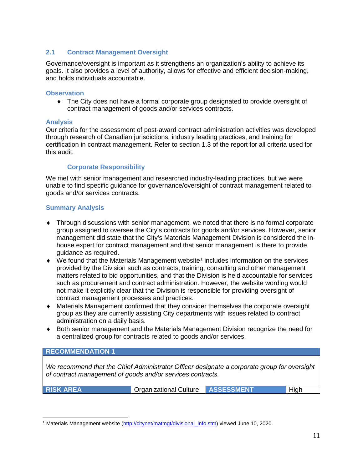#### **2.1 Contract Management Oversight**

Governance/oversight is important as it strengthens an organization's ability to achieve its goals. It also provides a level of authority, allows for effective and efficient decision-making, and holds individuals accountable.

#### **Observation**

♦ The City does not have a formal corporate group designated to provide oversight of contract management of goods and/or services contracts.

#### **Analysis**

Our criteria for the assessment of post-award contract administration activities was developed through research of Canadian jurisdictions, industry leading practices, and training for certification in contract management. Refer to section 1.3 of the report for all criteria used for this audit.

#### **Corporate Responsibility**

We met with senior management and researched industry-leading practices, but we were unable to find specific guidance for governance/oversight of contract management related to goods and/or services contracts.

#### **Summary Analysis**

- ♦ Through discussions with senior management, we noted that there is no formal corporate group assigned to oversee the City's contracts for goods and/or services. However, senior management did state that the City's Materials Management Division is considered the inhouse expert for contract management and that senior management is there to provide guidance as required.
- $\blacklozenge$  We found that the Materials Management website<sup>[1](#page-10-0)</sup> includes information on the services provided by the Division such as contracts, training, consulting and other management matters related to bid opportunities, and that the Division is held accountable for services such as procurement and contract administration. However, the website wording would not make it explicitly clear that the Division is responsible for providing oversight of contract management processes and practices.
- ♦ Materials Management confirmed that they consider themselves the corporate oversight group as they are currently assisting City departments with issues related to contract administration on a daily basis.
- ♦ Both senior management and the Materials Management Division recognize the need for a centralized group for contracts related to goods and/or services.

#### **RECOMMENDATION 1**

*We recommend that the Chief Administrator Officer designate a corporate group for oversight of contract management of goods and/or services contracts.*

**RISK AREA Organizational Culture ASSESSMENT High** 

<span id="page-10-0"></span><sup>&</sup>lt;sup>1</sup> Materials Management website [\(http://citynet/matmgt/divisional\\_info.stm\)](http://citynet/matmgt/divisional_info.stm) viewed June 10, 2020.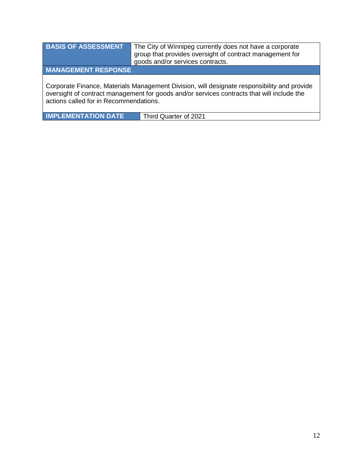| <b>BASIS OF ASSESSMENT</b>                                                                                                                                                                                                          | The City of Winnipeg currently does not have a corporate<br>group that provides oversight of contract management for<br>goods and/or services contracts. |  |  |  |  |
|-------------------------------------------------------------------------------------------------------------------------------------------------------------------------------------------------------------------------------------|----------------------------------------------------------------------------------------------------------------------------------------------------------|--|--|--|--|
| <b>MANAGEMENT RESPONSE</b>                                                                                                                                                                                                          |                                                                                                                                                          |  |  |  |  |
| Corporate Finance, Materials Management Division, will designate responsibility and provide<br>oversight of contract management for goods and/or services contracts that will include the<br>actions called for in Recommendations. |                                                                                                                                                          |  |  |  |  |

**IMPLEMENTATION DATE** Third Quarter of 2021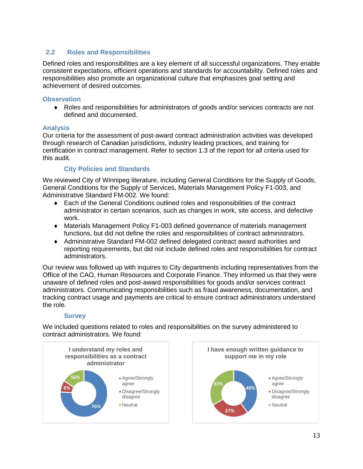#### **2.2 Roles and Responsibilities**

Defined roles and responsibilities are a key element of all successful organizations. They enable consistent expectations, efficient operations and standards for accountability. Defined roles and responsibilities also promote an organizational culture that emphasizes goal setting and achievement of desired outcomes.

#### **Observation**

♦ Roles and responsibilities for administrators of goods and/or services contracts are not defined and documented.

#### **Analysis**

Our criteria for the assessment of post-award contract administration activities was developed through research of Canadian jurisdictions, industry leading practices, and training for certification in contract management. Refer to section 1.3 of the report for all criteria used for this audit.

#### **City Policies and Standards**

We reviewed City of Winnipeg literature, including General Conditions for the Supply of Goods, General Conditions for the Supply of Services, Materials Management Policy F1-003, and Administrative Standard FM-002. We found:

- ♦ Each of the General Conditions outlined roles and responsibilities of the contract administrator in certain scenarios, such as changes in work, site access, and defective work.
- ♦ Materials Management Policy F1-003 defined governance of materials management functions, but did not define the roles and responsibilities of contract administrators.
- ♦ Administrative Standard FM-002 defined delegated contract award authorities and reporting requirements, but did not include defined roles and responsibilities for contract administrators.

Our review was followed up with inquires to City departments including representatives from the Office of the CAO, Human Resources and Corporate Finance. They informed us that they were unaware of defined roles and post-award responsibilities for goods and/or services contract administrators. Communicating responsibilities such as fraud awareness, documentation, and tracking contract usage and payments are critical to ensure contract administrators understand the role.

#### **Survey**

We included questions related to roles and responsibilities on the survey administered to contract administrators. We found:

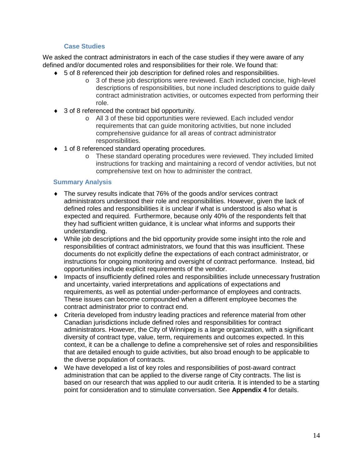#### **Case Studies**

We asked the contract administrators in each of the case studies if they were aware of any defined and/or documented roles and responsibilities for their role. We found that:

- ♦ 5 of 8 referenced their job description for defined roles and responsibilities.
	- o 3 of these job descriptions were reviewed. Each included concise, high-level descriptions of responsibilities, but none included descriptions to guide daily contract administration activities, or outcomes expected from performing their role.
- ♦ 3 of 8 referenced the contract bid opportunity.
	- o All 3 of these bid opportunities were reviewed. Each included vendor requirements that can guide monitoring activities, but none included comprehensive guidance for all areas of contract administrator responsibilities.
- ♦ 1 of 8 referenced standard operating procedures.
	- o These standard operating procedures were reviewed. They included limited instructions for tracking and maintaining a record of vendor activities, but not comprehensive text on how to administer the contract.

#### **Summary Analysis**

- The survey results indicate that 76% of the goods and/or services contract administrators understood their role and responsibilities. However, given the lack of defined roles and responsibilities it is unclear if what is understood is also what is expected and required. Furthermore, because only 40% of the respondents felt that they had sufficient written guidance, it is unclear what informs and supports their understanding.
- ♦ While job descriptions and the bid opportunity provide some insight into the role and responsibilities of contract administrators, we found that this was insufficient. These documents do not explicitly define the expectations of each contract administrator, or instructions for ongoing monitoring and oversight of contract performance. Instead, bid opportunities include explicit requirements of the vendor.
- ♦ Impacts of insufficiently defined roles and responsibilities include unnecessary frustration and uncertainty, varied interpretations and applications of expectations and requirements, as well as potential under-performance of employees and contracts. These issues can become compounded when a different employee becomes the contract administrator prior to contract end.
- ♦ Criteria developed from industry leading practices and reference material from other Canadian jurisdictions include defined roles and responsibilities for contract administrators. However, the City of Winnipeg is a large organization, with a significant diversity of contract type, value, term, requirements and outcomes expected. In this context, it can be a challenge to define a comprehensive set of roles and responsibilities that are detailed enough to guide activities, but also broad enough to be applicable to the diverse population of contracts.
- ♦ We have developed a list of key roles and responsibilities of post-award contract administration that can be applied to the diverse range of City contracts. The list is based on our research that was applied to our audit criteria. It is intended to be a starting point for consideration and to stimulate conversation. See **Appendix 4** for details.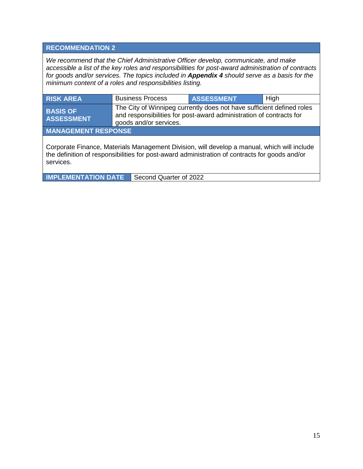#### **RECOMMENDATION 2**

*We recommend that the Chief Administrative Officer develop, communicate, and make accessible a list of the key roles and responsibilities for post-award administration of contracts for goods and/or services. The topics included in Appendix 4 should serve as a basis for the minimum content of a roles and responsibilities listing.* 

| <b>RISK AREA</b>                                                                                                                                                                                           | <b>Business Process</b>                                                                                                                                                | <b>ASSESSMENT</b> | High |  |
|------------------------------------------------------------------------------------------------------------------------------------------------------------------------------------------------------------|------------------------------------------------------------------------------------------------------------------------------------------------------------------------|-------------------|------|--|
| <b>BASIS OF</b><br><b>ASSESSMENT</b>                                                                                                                                                                       | The City of Winnipeg currently does not have sufficient defined roles<br>and responsibilities for post-award administration of contracts for<br>goods and/or services. |                   |      |  |
| <b>MANAGEMENT RESPONSE</b>                                                                                                                                                                                 |                                                                                                                                                                        |                   |      |  |
| Corporate Finance, Materials Management Division, will develop a manual, which will include<br>the definition of responsibilities for post-award administration of contracts for goods and/or<br>services. |                                                                                                                                                                        |                   |      |  |

**IMPLEMENTATION DATE** Second Quarter of 2022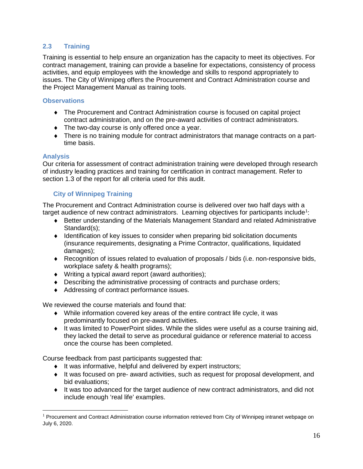#### **2.3 Training**

Training is essential to help ensure an organization has the capacity to meet its objectives. For contract management, training can provide a baseline for expectations, consistency of process activities, and equip employees with the knowledge and skills to respond appropriately to issues. The City of Winnipeg offers the Procurement and Contract Administration course and the Project Management Manual as training tools.

#### **Observations**

- ♦ The Procurement and Contract Administration course is focused on capital project contract administration, and on the pre-award activities of contract administrators.
- ♦ The two-day course is only offered once a year.
- ♦ There is no training module for contract administrators that manage contracts on a parttime basis.

#### **Analysis**

 $\ddot{\phantom{a}}$ 

Our criteria for assessment of contract administration training were developed through research of industry leading practices and training for certification in contract management. Refer to section 1.3 of the report for all criteria used for this audit.

#### **City of Winnipeg Training**

The Procurement and Contract Administration course is delivered over two half days with a target audience of new contract administrators. Learning objectives for participants include<sup>[1](#page-15-0)</sup>:

- ♦ Better understanding of the Materials Management Standard and related Administrative Standard(s);
- ♦ Identification of key issues to consider when preparing bid solicitation documents (insurance requirements, designating a Prime Contractor, qualifications, liquidated damages);
- ♦ Recognition of issues related to evaluation of proposals / bids (i.e. non-responsive bids, workplace safety & health programs);
- ♦ Writing a typical award report (award authorities);
- ♦ Describing the administrative processing of contracts and purchase orders;
- ♦ Addressing of contract performance issues.

We reviewed the course materials and found that:

- ♦ While information covered key areas of the entire contract life cycle, it was predominantly focused on pre-award activities.
- ♦ It was limited to PowerPoint slides. While the slides were useful as a course training aid, they lacked the detail to serve as procedural guidance or reference material to access once the course has been completed.

Course feedback from past participants suggested that:

- ♦ It was informative, helpful and delivered by expert instructors;
- ♦ It was focused on pre- award activities, such as request for proposal development, and bid evaluations;
- ♦ It was too advanced for the target audience of new contract administrators, and did not include enough 'real life' examples.

<span id="page-15-0"></span> $1$  Procurement and Contract Administration course information retrieved from City of Winnipeg intranet webpage on July 6, 2020.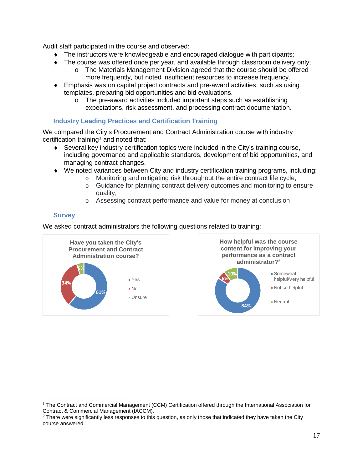Audit staff participated in the course and observed:

- ♦ The instructors were knowledgeable and encouraged dialogue with participants;
- ♦ The course was offered once per year, and available through classroom delivery only; o The Materials Management Division agreed that the course should be offered
	- more frequently, but noted insufficient resources to increase frequency.
- ♦ Emphasis was on capital project contracts and pre-award activities, such as using templates, preparing bid opportunities and bid evaluations.
	- o The pre-award activities included important steps such as establishing expectations, risk assessment, and processing contract documentation.

#### **Industry Leading Practices and Certification Training**

We compared the City's Procurement and Contract Administration course with industry certification training<sup>[1](#page-16-0)</sup> and noted that:

- ♦ Several key industry certification topics were included in the City's training course, including governance and applicable standards, development of bid opportunities, and managing contract changes.
- ♦ We noted variances between City and industry certification training programs, including:
	- o Monitoring and mitigating risk throughout the entire contract life cycle;
	- o Guidance for planning contract delivery outcomes and monitoring to ensure quality;
	- o Assessing contract performance and value for money at conclusion

#### **Survey**

We asked contract administrators the following questions related to training:*[2](#page-16-1)*



<span id="page-16-0"></span> <sup>1</sup> The Contract and Commercial Management (CCM) Certification offered through the International Association for Contract & Commercial Management (IACCM).

<span id="page-16-1"></span><sup>&</sup>lt;sup>2</sup> There were significantly less responses to this question, as only those that indicated they have taken the City course answered.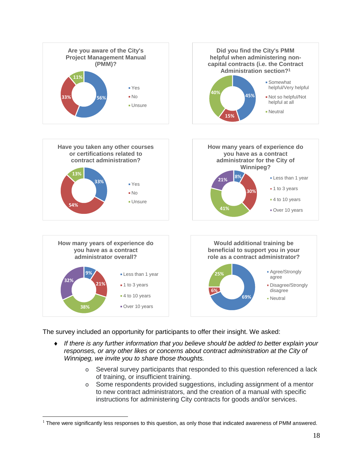

The survey included an opportunity for participants to offer their insight. We asked:

 $\overline{a}$ 

- ♦ *If there is any further information that you believe should be added to better explain your responses, or any other likes or concerns about contract administration at the City of Winnipeg, we invite you to share those thoughts.*
	- o Several survey participants that responded to this question referenced a lack of training, or insufficient training.
	- o Some respondents provided suggestions, including assignment of a mentor to new contract administrators, and the creation of a manual with specific instructions for administering City contracts for goods and/or services.

<span id="page-17-0"></span> $<sup>1</sup>$  There were significantly less responses to this question, as only those that indicated awareness of PMM answered.</sup>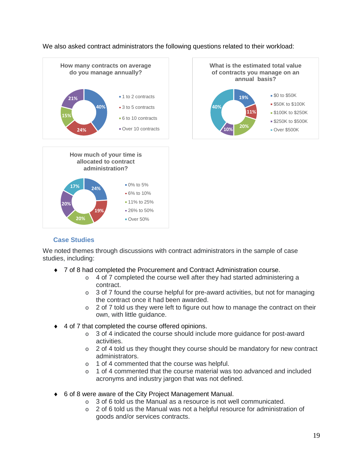We also asked contract administrators the following questions related to their workload:





#### **Case Studies**

We noted themes through discussions with contract administrators in the sample of case studies, including:

- ♦ 7 of 8 had completed the Procurement and Contract Administration course.
	- o 4 of 7 completed the course well after they had started administering a contract.
	- $\circ$  3 of 7 found the course helpful for pre-award activities, but not for managing the contract once it had been awarded.
	- $\circ$  2 of 7 told us they were left to figure out how to manage the contract on their own, with little guidance.
- ♦ 4 of 7 that completed the course offered opinions.
	- o 3 of 4 indicated the course should include more guidance for post-award activities.
	- o 2 of 4 told us they thought they course should be mandatory for new contract administrators.
	- o 1 of 4 commented that the course was helpful.
	- $\circ$  1 of 4 commented that the course material was too advanced and included acronyms and industry jargon that was not defined.
- ♦ 6 of 8 were aware of the City Project Management Manual.
	- o 3 of 6 told us the Manual as a resource is not well communicated.
	- o 2 of 6 told us the Manual was not a helpful resource for administration of goods and/or services contracts.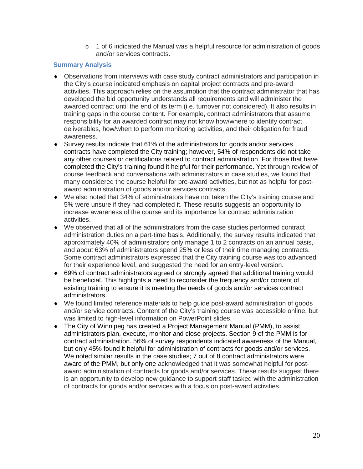o 1 of 6 indicated the Manual was a helpful resource for administration of goods and/or services contracts.

#### **Summary Analysis**

- ♦ Observations from interviews with case study contract administrators and participation in the City's course indicated emphasis on capital project contracts and pre-award activities. This approach relies on the assumption that the contract administrator that has developed the bid opportunity understands all requirements and will administer the awarded contract until the end of its term (i.e. turnover not considered). It also results in training gaps in the course content. For example, contract administrators that assume responsibility for an awarded contract may not know how/where to identify contract deliverables, how/when to perform monitoring activities, and their obligation for fraud awareness.
- ♦ Survey results indicate that 61% of the administrators for goods and/or services contracts have completed the City training; however, 54% of respondents did not take any other courses or certifications related to contract administration. For those that have completed the City's training found it helpful for their performance. Yet through review of course feedback and conversations with administrators in case studies, we found that many considered the course helpful for pre-award activities, but not as helpful for postaward administration of goods and/or services contracts.
- ♦ We also noted that 34% of administrators have not taken the City's training course and 5% were unsure if they had completed it. These results suggests an opportunity to increase awareness of the course and its importance for contract administration activities.
- ♦ We observed that all of the administrators from the case studies performed contract administration duties on a part-time basis. Additionally, the survey results indicated that approximately 40% of administrators only manage 1 to 2 contracts on an annual basis, and about 63% of administrators spend 25% or less of their time managing contracts. Some contract administrators expressed that the City training course was too advanced for their experience level, and suggested the need for an entry-level version.
- ♦ 69% of contract administrators agreed or strongly agreed that additional training would be beneficial. This highlights a need to reconsider the frequency and/or content of existing training to ensure it is meeting the needs of goods and/or services contract administrators.
- ♦ We found limited reference materials to help guide post-award administration of goods and/or service contracts. Content of the City's training course was accessible online, but was limited to high-level information on PowerPoint slides.
- ♦ The City of Winnipeg has created a Project Management Manual (PMM), to assist administrators plan, execute, monitor and close projects. Section 9 of the PMM is for contract administration. 56% of survey respondents indicated awareness of the Manual, but only 45% found it helpful for administration of contracts for goods and/or services. We noted similar results in the case studies; 7 out of 8 contract administrators were aware of the PMM, but only one acknowledged that it was somewhat helpful for postaward administration of contracts for goods and/or services. These results suggest there is an opportunity to develop new guidance to support staff tasked with the administration of contracts for goods and/or services with a focus on post-award activities.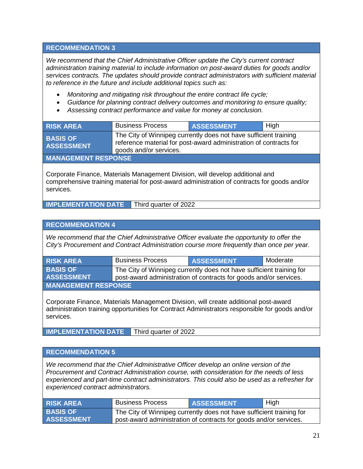#### **RECOMMENDATION 3**

*We recommend that the Chief Administrative Officer update the City's current contract administration training material to include information on post-award duties for goods and/or services contracts. The updates should provide contract administrators with sufficient material to reference in the future and include additional topics such as:*

- *Monitoring and mitigating risk throughout the entire contract life cycle;*
- *Guidance for planning contract delivery outcomes and monitoring to ensure quality;*
- *Assessing contract performance and value for money at conclusion.*

| <b>RISK AREA</b>                     | <b>Business Process</b>                                                                                                                                         | <b>ASSESSMENT</b> | High |  |
|--------------------------------------|-----------------------------------------------------------------------------------------------------------------------------------------------------------------|-------------------|------|--|
| <b>BASIS OF</b><br><b>ASSESSMENT</b> | The City of Winnipeg currently does not have sufficient training<br>reference material for post-award administration of contracts for<br>goods and/or services. |                   |      |  |
| <b>MANAGEMENT RESPONSE</b>           |                                                                                                                                                                 |                   |      |  |

Corporate Finance, Materials Management Division, will develop additional and comprehensive training material for post-award administration of contracts for goods and/or services.

**IMPLEMENTATION DATE** Third quarter of 2022

#### **RECOMMENDATION 4**

*We recommend that the Chief Administrative Officer evaluate the opportunity to offer the City's Procurement and Contract Administration course more frequently than once per year.*

| <b>RISK AREA</b>           | <b>Business Process</b>                                              | <b>ASSESSMENT</b> | Moderate |  |  |
|----------------------------|----------------------------------------------------------------------|-------------------|----------|--|--|
| <b>BASIS OF</b>            | The City of Winnipeg currently does not have sufficient training for |                   |          |  |  |
| <b>ASSESSMENT</b>          | post-award administration of contracts for goods and/or services.    |                   |          |  |  |
| <b>MANAGEMENT RESPONSE</b> |                                                                      |                   |          |  |  |

Corporate Finance, Materials Management Division, will create additional post-award administration training opportunities for Contract Administrators responsible for goods and/or services.

**IMPLEMENTATION DATE** Third quarter of 2022

#### **RECOMMENDATION 5**

*We recommend that the Chief Administrative Officer develop an online version of the Procurement and Contract Administration course, with consideration for the needs of less experienced and part-time contract administrators. This could also be used as a refresher for experienced contract administrators.* 

| <b>RISK AREA</b>                     | <b>Business Process</b>                                                                                                                   | <b>ASSESSMENT</b> | ⊿ High |
|--------------------------------------|-------------------------------------------------------------------------------------------------------------------------------------------|-------------------|--------|
| <b>BASIS OF</b><br><b>ASSESSMENT</b> | The City of Winnipeg currently does not have sufficient training for<br>post-award administration of contracts for goods and/or services. |                   |        |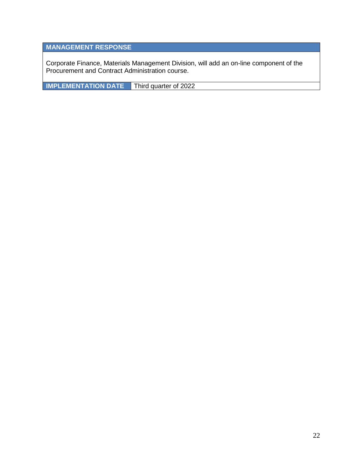## **MANAGEMENT RESPONSE**

Corporate Finance, Materials Management Division, will add an on-line component of the Procurement and Contract Administration course.

**IMPLEMENTATION DATE** Third quarter of 2022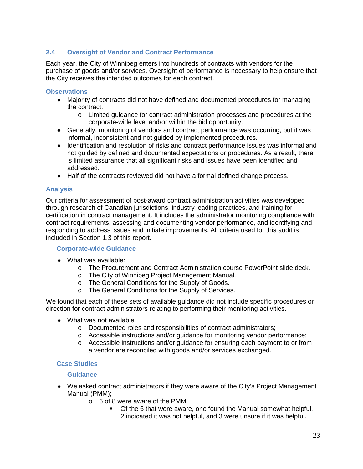#### **2.4 Oversight of Vendor and Contract Performance**

Each year, the City of Winnipeg enters into hundreds of contracts with vendors for the purchase of goods and/or services. Oversight of performance is necessary to help ensure that the City receives the intended outcomes for each contract.

#### **Observations**

- ♦ Majority of contracts did not have defined and documented procedures for managing the contract.
	- o Limited guidance for contract administration processes and procedures at the corporate-wide level and/or within the bid opportunity.
- ♦ Generally, monitoring of vendors and contract performance was occurring, but it was informal, inconsistent and not guided by implemented procedures.
- ♦ Identification and resolution of risks and contract performance issues was informal and not guided by defined and documented expectations or procedures. As a result, there is limited assurance that all significant risks and issues have been identified and addressed.
- ♦ Half of the contracts reviewed did not have a formal defined change process.

#### **Analysis**

Our criteria for assessment of post-award contract administration activities was developed through research of Canadian jurisdictions, industry leading practices, and training for certification in contract management. It includes the administrator monitoring compliance with contract requirements, assessing and documenting vendor performance, and identifying and responding to address issues and initiate improvements. All criteria used for this audit is included in Section 1.3 of this report.

#### **Corporate-wide Guidance**

- ♦ What was available:
	- o The Procurement and Contract Administration course PowerPoint slide deck.
	- o The City of Winnipeg Project Management Manual.
	- o The General Conditions for the Supply of Goods.
	- o The General Conditions for the Supply of Services.

We found that each of these sets of available guidance did not include specific procedures or direction for contract administrators relating to performing their monitoring activities.

- ♦ What was not available:
	- o Documented roles and responsibilities of contract administrators;
	- o Accessible instructions and/or guidance for monitoring vendor performance;
	- o Accessible instructions and/or guidance for ensuring each payment to or from a vendor are reconciled with goods and/or services exchanged.

#### **Case Studies**

#### **Guidance**

- $\blacklozenge$  We asked contract administrators if they were aware of the City's Project Management Manual (PMM);
	- o 6 of 8 were aware of the PMM.
		- Of the 6 that were aware, one found the Manual somewhat helpful,
			- 2 indicated it was not helpful, and 3 were unsure if it was helpful.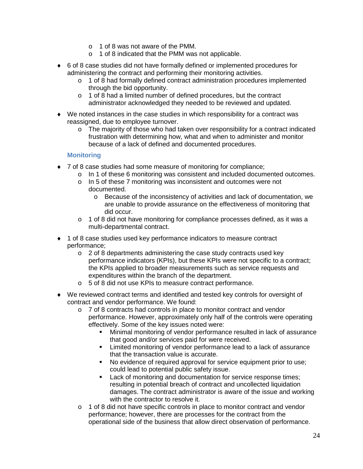- o 1 of 8 was not aware of the PMM.
- o 1 of 8 indicated that the PMM was not applicable.
- ♦ 6 of 8 case studies did not have formally defined or implemented procedures for administering the contract and performing their monitoring activities.
	- $\circ$  1 of 8 had formally defined contract administration procedures implemented through the bid opportunity.
	- o 1 of 8 had a limited number of defined procedures, but the contract administrator acknowledged they needed to be reviewed and updated.
- $\blacklozenge$  We noted instances in the case studies in which responsibility for a contract was reassigned, due to employee turnover.
	- $\circ$  The majority of those who had taken over responsibility for a contract indicated frustration with determining how, what and when to administer and monitor because of a lack of defined and documented procedures.

#### **Monitoring**

- ♦ 7 of 8 case studies had some measure of monitoring for compliance;
	- o In 1 of these 6 monitoring was consistent and included documented outcomes.
	- o In 5 of these 7 monitoring was inconsistent and outcomes were not documented.
		- o Because of the inconsistency of activities and lack of documentation, we are unable to provide assurance on the effectiveness of monitoring that did occur.
	- o 1 of 8 did not have monitoring for compliance processes defined, as it was a multi-departmental contract.
- ♦ 1 of 8 case studies used key performance indicators to measure contract performance;
	- $\circ$  2 of 8 departments administering the case study contracts used key performance indicators (KPIs), but these KPIs were not specific to a contract; the KPIs applied to broader measurements such as service requests and expenditures within the branch of the department.
	- o 5 of 8 did not use KPIs to measure contract performance.
- ♦ We reviewed contract terms and identified and tested key controls for oversight of contract and vendor performance. We found:
	- o 7 of 8 contracts had controls in place to monitor contract and vendor performance. However, approximately only half of the controls were operating effectively. Some of the key issues noted were:
		- Minimal monitoring of vendor performance resulted in lack of assurance that good and/or services paid for were received.
		- **EXECT** Limited monitoring of vendor performance lead to a lack of assurance that the transaction value is accurate.
		- No evidence of required approval for service equipment prior to use; could lead to potential public safety issue.
		- **Lack of monitoring and documentation for service response times;** resulting in potential breach of contract and uncollected liquidation damages. The contract administrator is aware of the issue and working with the contractor to resolve it.
	- o 1 of 8 did not have specific controls in place to monitor contract and vendor performance; however, there are processes for the contract from the operational side of the business that allow direct observation of performance.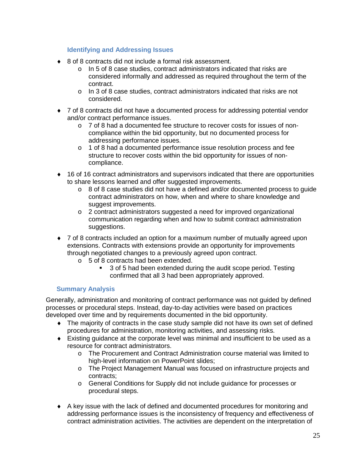#### **Identifying and Addressing Issues**

- ♦ 8 of 8 contracts did not include a formal risk assessment.
	- o In 5 of 8 case studies, contract administrators indicated that risks are considered informally and addressed as required throughout the term of the contract.
	- o In 3 of 8 case studies, contract administrators indicated that risks are not considered.
- ♦ 7 of 8 contracts did not have a documented process for addressing potential vendor and/or contract performance issues.
	- o 7 of 8 had a documented fee structure to recover costs for issues of noncompliance within the bid opportunity, but no documented process for addressing performance issues.
	- o 1 of 8 had a documented performance issue resolution process and fee structure to recover costs within the bid opportunity for issues of noncompliance.
- ♦ 16 of 16 contract administrators and supervisors indicated that there are opportunities to share lessons learned and offer suggested improvements.
	- $\circ$  8 of 8 case studies did not have a defined and/or documented process to quide contract administrators on how, when and where to share knowledge and suggest improvements.
	- o 2 contract administrators suggested a need for improved organizational communication regarding when and how to submit contract administration suggestions.
- ♦ 7 of 8 contracts included an option for a maximum number of mutually agreed upon extensions. Contracts with extensions provide an opportunity for improvements through negotiated changes to a previously agreed upon contract.
	- o 5 of 8 contracts had been extended.
		- 3 of 5 had been extended during the audit scope period. Testing confirmed that all 3 had been appropriately approved.

#### **Summary Analysis**

Generally, administration and monitoring of contract performance was not guided by defined processes or procedural steps. Instead, day-to-day activities were based on practices developed over time and by requirements documented in the bid opportunity.

- ♦ The majority of contracts in the case study sample did not have its own set of defined procedures for administration, monitoring activities, and assessing risks.
- $\bullet$  Existing guidance at the corporate level was minimal and insufficient to be used as a resource for contract administrators.
	- o The Procurement and Contract Administration course material was limited to high-level information on PowerPoint slides;
	- o The Project Management Manual was focused on infrastructure projects and contracts;
	- o General Conditions for Supply did not include guidance for processes or procedural steps.
- ♦ A key issue with the lack of defined and documented procedures for monitoring and addressing performance issues is the inconsistency of frequency and effectiveness of contract administration activities. The activities are dependent on the interpretation of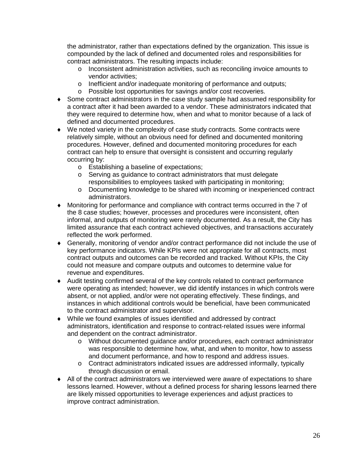the administrator, rather than expectations defined by the organization. This issue is compounded by the lack of defined and documented roles and responsibilities for contract administrators. The resulting impacts include:

- o Inconsistent administration activities, such as reconciling invoice amounts to vendor activities;
- o Inefficient and/or inadequate monitoring of performance and outputs;
- o Possible lost opportunities for savings and/or cost recoveries.
- ♦ Some contract administrators in the case study sample had assumed responsibility for a contract after it had been awarded to a vendor. These administrators indicated that they were required to determine how, when and what to monitor because of a lack of defined and documented procedures.
- ♦ We noted variety in the complexity of case study contracts. Some contracts were relatively simple, without an obvious need for defined and documented monitoring procedures. However, defined and documented monitoring procedures for each contract can help to ensure that oversight is consistent and occurring regularly occurring by:
	- o Establishing a baseline of expectations;
	- o Serving as guidance to contract administrators that must delegate responsibilities to employees tasked with participating in monitoring;
	- o Documenting knowledge to be shared with incoming or inexperienced contract administrators.
- ♦ Monitoring for performance and compliance with contract terms occurred in the 7 of the 8 case studies; however, processes and procedures were inconsistent, often informal, and outputs of monitoring were rarely documented. As a result, the City has limited assurance that each contract achieved objectives, and transactions accurately reflected the work performed.
- ♦ Generally, monitoring of vendor and/or contract performance did not include the use of key performance indicators. While KPIs were not appropriate for all contracts, most contract outputs and outcomes can be recorded and tracked. Without KPIs, the City could not measure and compare outputs and outcomes to determine value for revenue and expenditures.
- ♦ Audit testing confirmed several of the key controls related to contract performance were operating as intended; however, we did identify instances in which controls were absent, or not applied, and/or were not operating effectively. These findings, and instances in which additional controls would be beneficial, have been communicated to the contract administrator and supervisor.
- ♦ While we found examples of issues identified and addressed by contract administrators, identification and response to contract-related issues were informal and dependent on the contract administrator.
	- o Without documented guidance and/or procedures, each contract administrator was responsible to determine how, what, and when to monitor, how to assess and document performance, and how to respond and address issues.
	- o Contract administrators indicated issues are addressed informally, typically through discussion or email.
- ♦ All of the contract administrators we interviewed were aware of expectations to share lessons learned. However, without a defined process for sharing lessons learned there are likely missed opportunities to leverage experiences and adjust practices to improve contract administration.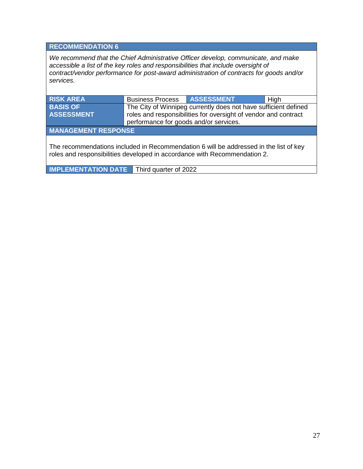#### **RECOMMENDATION 6**

*We recommend that the Chief Administrative Officer develop, communicate, and make accessible a list of the key roles and responsibilities that include oversight of contract/vendor performance for post-award administration of contracts for goods and/or services.*

| <b>RISK AREA</b>                                                                                                                                                   | <b>Business Process   ASSESSMENT</b>   |                                                                 | High |  |  |  |
|--------------------------------------------------------------------------------------------------------------------------------------------------------------------|----------------------------------------|-----------------------------------------------------------------|------|--|--|--|
| <b>BASIS OF</b>                                                                                                                                                    |                                        | The City of Winnipeg currently does not have sufficient defined |      |  |  |  |
| <b>ASSESSMENT</b>                                                                                                                                                  |                                        | roles and responsibilities for oversight of vendor and contract |      |  |  |  |
|                                                                                                                                                                    | performance for goods and/or services. |                                                                 |      |  |  |  |
| <b>MANAGEMENT RESPONSE</b>                                                                                                                                         |                                        |                                                                 |      |  |  |  |
| The recommendations included in Recommendation 6 will be addressed in the list of key<br>roles and responsibilities developed in accordance with Recommendation 2. |                                        |                                                                 |      |  |  |  |
| <b>IMPLEMENTATION DATE</b>                                                                                                                                         | Third quarter of 2022                  |                                                                 |      |  |  |  |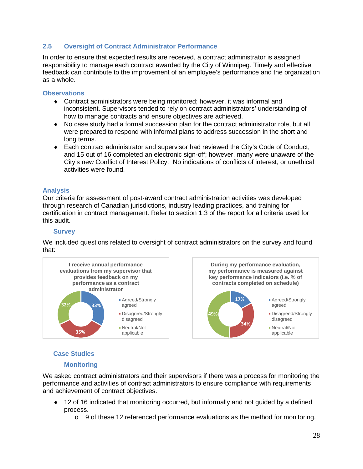#### **2.5 Oversight of Contract Administrator Performance**

In order to ensure that expected results are received, a contract administrator is assigned responsibility to manage each contract awarded by the City of Winnipeg. Timely and effective feedback can contribute to the improvement of an employee's performance and the organization as a whole.

#### **Observations**

- ♦ Contract administrators were being monitored; however, it was informal and inconsistent. Supervisors tended to rely on contract administrators' understanding of how to manage contracts and ensure objectives are achieved.
- ♦ No case study had a formal succession plan for the contract administrator role, but all were prepared to respond with informal plans to address succession in the short and long terms.
- ♦ Each contract administrator and supervisor had reviewed the City's Code of Conduct, and 15 out of 16 completed an electronic sign-off; however, many were unaware of the City's new Conflict of Interest Policy. No indications of conflicts of interest, or unethical activities were found.

#### **Analysis**

Our criteria for assessment of post-award contract administration activities was developed through research of Canadian jurisdictions, industry leading practices, and training for certification in contract management. Refer to section 1.3 of the report for all criteria used for this audit.

#### **Survey**

We included questions related to oversight of contract administrators on the survey and found that:



#### **Case Studies**

#### **Monitoring**

We asked contract administrators and their supervisors if there was a process for monitoring the performance and activities of contract administrators to ensure compliance with requirements and achievement of contract objectives.

- ♦ 12 of 16 indicated that monitoring occurred, but informally and not guided by a defined process.
	- $\circ$  9 of these 12 referenced performance evaluations as the method for monitoring.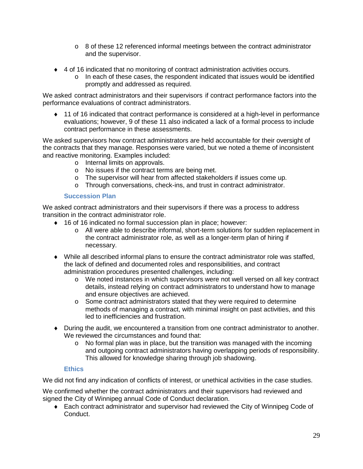- $\circ$  8 of these 12 referenced informal meetings between the contract administrator and the supervisor.
- ♦ 4 of 16 indicated that no monitoring of contract administration activities occurs.
	- $\circ$  In each of these cases, the respondent indicated that issues would be identified promptly and addressed as required.

We asked contract administrators and their supervisors if contract performance factors into the performance evaluations of contract administrators.

♦ 11 of 16 indicated that contract performance is considered at a high-level in performance evaluations; however, 9 of these 11 also indicated a lack of a formal process to include contract performance in these assessments.

We asked supervisors how contract administrators are held accountable for their oversight of the contracts that they manage. Responses were varied, but we noted a theme of inconsistent and reactive monitoring. Examples included:

- o Internal limits on approvals.
- o No issues if the contract terms are being met.
- o The supervisor will hear from affected stakeholders if issues come up.
- o Through conversations, check-ins, and trust in contract administrator.

#### **Succession Plan**

We asked contract administrators and their supervisors if there was a process to address transition in the contract administrator role.

- ♦ 16 of 16 indicated no formal succession plan in place; however:
	- o All were able to describe informal, short-term solutions for sudden replacement in the contract administrator role, as well as a longer-term plan of hiring if necessary.
- ♦ While all described informal plans to ensure the contract administrator role was staffed, the lack of defined and documented roles and responsibilities, and contract administration procedures presented challenges, including:
	- o We noted instances in which supervisors were not well versed on all key contract details, instead relying on contract administrators to understand how to manage and ensure objectives are achieved.
	- $\circ$  Some contract administrators stated that they were required to determine methods of managing a contract, with minimal insight on past activities, and this led to inefficiencies and frustration.
- ♦ During the audit, we encountered a transition from one contract administrator to another. We reviewed the circumstances and found that:
	- o No formal plan was in place, but the transition was managed with the incoming and outgoing contract administrators having overlapping periods of responsibility. This allowed for knowledge sharing through job shadowing.

#### **Ethics**

We did not find any indication of conflicts of interest, or unethical activities in the case studies.

We confirmed whether the contract administrators and their supervisors had reviewed and signed the City of Winnipeg annual Code of Conduct declaration.

♦ Each contract administrator and supervisor had reviewed the City of Winnipeg Code of Conduct.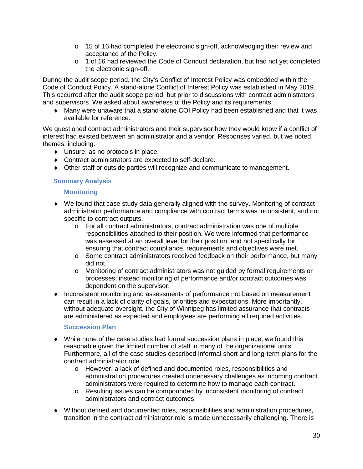- $\circ$  15 of 16 had completed the electronic sign-off, acknowledging their review and acceptance of the Policy.
- o 1 of 16 had reviewed the Code of Conduct declaration, but had not yet completed the electronic sign-off.

During the audit scope period, the City's Conflict of Interest Policy was embedded within the Code of Conduct Policy. A stand-alone Conflict of Interest Policy was established in May 2019. This occurred after the audit scope period, but prior to discussions with contract administrators and supervisors. We asked about awareness of the Policy and its requirements.

♦ Many were unaware that a stand-alone COI Policy had been established and that it was available for reference.

We questioned contract administrators and their supervisor how they would know if a conflict of interest had existed between an administrator and a vendor. Responses varied, but we noted themes, including:

- ♦ Unsure, as no protocols in place.
- ♦ Contract administrators are expected to self-declare.
- ♦ Other staff or outside parties will recognize and communicate to management.

#### **Summary Analysis**

#### **Monitoring**

- ♦ We found that case study data generally aligned with the survey. Monitoring of contract administrator performance and compliance with contract terms was inconsistent, and not specific to contract outputs.
	- o For all contract administrators, contract administration was one of multiple responsibilities attached to their position. We were informed that performance was assessed at an overall level for their position, and not specifically for ensuring that contract compliance, requirements and objectives were met.
	- o Some contract administrators received feedback on their performance, but many did not.
	- o Monitoring of contract administrators was not guided by formal requirements or processes; instead monitoring of performance and/or contract outcomes was dependent on the supervisor.
- ♦ Inconsistent monitoring and assessments of performance not based on measurement can result in a lack of clarity of goals, priorities and expectations. More importantly, without adequate oversight, the City of Winnipeg has limited assurance that contracts are administered as expected and employees are performing all required activities.

#### **Succession Plan**

- $\bullet$  While none of the case studies had formal succession plans in place, we found this reasonable given the limited number of staff in many of the organizational units. Furthermore, all of the case studies described informal short and long-term plans for the contract administrator role.
	- o However, a lack of defined and documented roles, responsibilities and administration procedures created unnecessary challenges as incoming contract administrators were required to determine how to manage each contract.
	- o Resulting issues can be compounded by inconsistent monitoring of contract administrators and contract outcomes.
- ♦ Without defined and documented roles, responsibilities and administration procedures, transition in the contract administrator role is made unnecessarily challenging. There is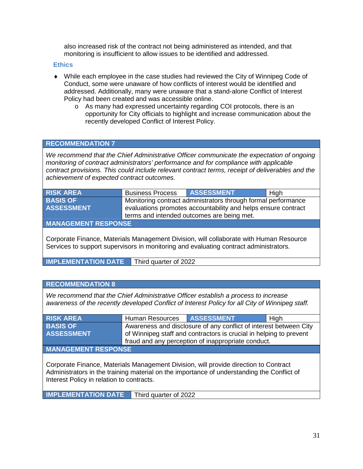also increased risk of the contract not being administered as intended, and that monitoring is insufficient to allow issues to be identified and addressed.

#### **Ethics**

- ♦ While each employee in the case studies had reviewed the City of Winnipeg Code of Conduct, some were unaware of how conflicts of interest would be identified and addressed. Additionally, many were unaware that a stand-alone Conflict of Interest Policy had been created and was accessible online.
	- o As many had expressed uncertainty regarding COI protocols, there is an opportunity for City officials to highlight and increase communication about the recently developed Conflict of Interest Policy.

#### **RECOMMENDATION 7**

*We recommend that the Chief Administrative Officer communicate the expectation of ongoing monitoring of contract administrators' performance and for compliance with applicable contract provisions. This could include relevant contract terms, receipt of deliverables and the achievement of expected contract outcomes.* 

| <b>RISK AREA</b>  | <b>Business Process</b>                                       | <b>ASSESSMENT</b> | High |  |  |  |
|-------------------|---------------------------------------------------------------|-------------------|------|--|--|--|
| <b>BASIS OF</b>   | Monitoring contract administrators through formal performance |                   |      |  |  |  |
| <b>ASSESSMENT</b> | evaluations promotes accountability and helps ensure contract |                   |      |  |  |  |
|                   | terms and intended outcomes are being met.                    |                   |      |  |  |  |

**MANAGEMENT RESPONSE**

Corporate Finance, Materials Management Division, will collaborate with Human Resource Services to support supervisors in monitoring and evaluating contract administrators.

**IMPLEMENTATION DATE** Third quarter of 2022

#### **RECOMMENDATION 8**

*We recommend that the Chief Administrative Officer establish a process to increase awareness of the recently developed Conflict of Interest Policy for all City of Winnipeg staff.*

| <b>RISK AREA</b>                                                                                                                                                                               | Human Resources                                                    | <b>ASSESSMENT</b>                                                 | High |  |  |
|------------------------------------------------------------------------------------------------------------------------------------------------------------------------------------------------|--------------------------------------------------------------------|-------------------------------------------------------------------|------|--|--|
| <b>BASIS OF</b>                                                                                                                                                                                |                                                                    | Awareness and disclosure of any conflict of interest between City |      |  |  |
| <b>ASSESSMENT</b>                                                                                                                                                                              | of Winnipeg staff and contractors is crucial in helping to prevent |                                                                   |      |  |  |
|                                                                                                                                                                                                | fraud and any perception of inappropriate conduct.                 |                                                                   |      |  |  |
| <b>MANAGEMENT RESPONSE</b>                                                                                                                                                                     |                                                                    |                                                                   |      |  |  |
| Corporate Finance, Materials Management Division, will provide direction to Contract<br>A designate de la de a trainista parte de la de la france stance de la developpe din a the Ospflist of |                                                                    |                                                                   |      |  |  |

Administrators in the training material on the importance of understanding the Conflict of Interest Policy in relation to contracts.

**IMPLEMENTATION DATE** Third quarter of 2022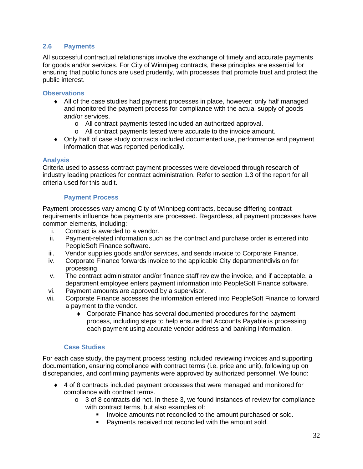#### **2.6 Payments**

All successful contractual relationships involve the exchange of timely and accurate payments for goods and/or services. For City of Winnipeg contracts, these principles are essential for ensuring that public funds are used prudently, with processes that promote trust and protect the public interest.

#### **Observations**

- ♦ All of the case studies had payment processes in place, however; only half managed and monitored the payment process for compliance with the actual supply of goods and/or services.
	- o All contract payments tested included an authorized approval.
	- o All contract payments tested were accurate to the invoice amount.
- ♦ Only half of case study contracts included documented use, performance and payment information that was reported periodically.

#### **Analysis**

Criteria used to assess contract payment processes were developed through research of industry leading practices for contract administration. Refer to section 1.3 of the report for all criteria used for this audit.

#### **Payment Process**

Payment processes vary among City of Winnipeg contracts, because differing contract requirements influence how payments are processed. Regardless, all payment processes have common elements, including:

- i. Contract is awarded to a vendor.
- ii. Payment-related information such as the contract and purchase order is entered into PeopleSoft Finance software.
- iii. Vendor supplies goods and/or services, and sends invoice to Corporate Finance.
- iv. Corporate Finance forwards invoice to the applicable City department/division for processing.
- v. The contract administrator and/or finance staff review the invoice, and if acceptable, a department employee enters payment information into PeopleSoft Finance software.
- vi. Payment amounts are approved by a supervisor.
- vii. Corporate Finance accesses the information entered into PeopleSoft Finance to forward a payment to the vendor.
	- ♦ Corporate Finance has several documented procedures for the payment process, including steps to help ensure that Accounts Payable is processing each payment using accurate vendor address and banking information.

#### **Case Studies**

For each case study, the payment process testing included reviewing invoices and supporting documentation, ensuring compliance with contract terms (i.e. price and unit), following up on discrepancies, and confirming payments were approved by authorized personnel. We found:

- ♦ 4 of 8 contracts included payment processes that were managed and monitored for compliance with contract terms.
	- $\circ$  3 of 8 contracts did not. In these 3, we found instances of review for compliance with contract terms, but also examples of:
		- **IDED** Invoice amounts not reconciled to the amount purchased or sold.
		- Payments received not reconciled with the amount sold.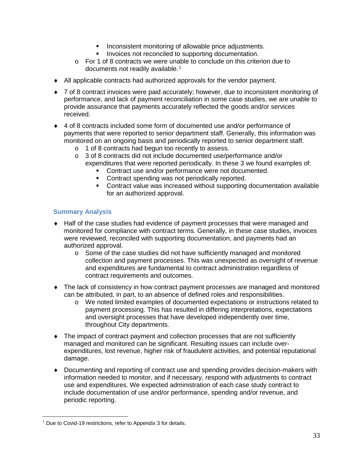- **Inconsistent monitoring of allowable price adjustments.**
- **Invoices not reconciled to supporting documentation.**
- o For 1 of 8 contracts we were unable to conclude on this criterion due to documents not readily available.<sup>[1](#page-32-0)</sup>
- ♦ All applicable contracts had authorized approvals for the vendor payment.
- ♦ 7 of 8 contract invoices were paid accurately; however, due to inconsistent monitoring of performance, and lack of payment reconciliation in some case studies, we are unable to provide assurance that payments accurately reflected the goods and/or services received.
- ♦ 4 of 8 contracts included some form of documented use and/or performance of payments that were reported to senior department staff. Generally, this information was monitored on an ongoing basis and periodically reported to senior department staff.
	- o 1 of 8 contracts had begun too recently to assess.
	- o 3 of 8 contracts did not include documented use/performance and/or expenditures that were reported periodically. In these 3 we found examples of:
		- Contract use and/or performance were not documented.
		- Contract spending was not periodically reported.
		- Contract value was increased without supporting documentation available for an authorized approval.

#### **Summary Analysis**

- ♦ Half of the case studies had evidence of payment processes that were managed and monitored for compliance with contract terms. Generally, in these case studies, invoices were reviewed, reconciled with supporting documentation, and payments had an authorized approval.
	- o Some of the case studies did not have sufficiently managed and monitored collection and payment processes. This was unexpected as oversight of revenue and expenditures are fundamental to contract administration regardless of contract requirements and outcomes.
- ♦ The lack of consistency in how contract payment processes are managed and monitored can be attributed, in part, to an absence of defined roles and responsibilities.
	- o We noted limited examples of documented expectations or instructions related to payment processing. This has resulted in differing interpretations, expectations and oversight processes that have developed independently over time, throughout City departments.
- ♦ The impact of contract payment and collection processes that are not sufficiently managed and monitored can be significant. Resulting issues can include overexpenditures, lost revenue, higher risk of fraudulent activities, and potential reputational damage.
- ♦ Documenting and reporting of contract use and spending provides decision-makers with information needed to monitor, and if necessary, respond with adjustments to contract use and expenditures. We expected administration of each case study contract to include documentation of use and/or performance, spending and/or revenue, and periodic reporting.

<span id="page-32-0"></span> $\overline{a}$  $1$  Due to Covid-19 restrictions, refer to Appendix 3 for details.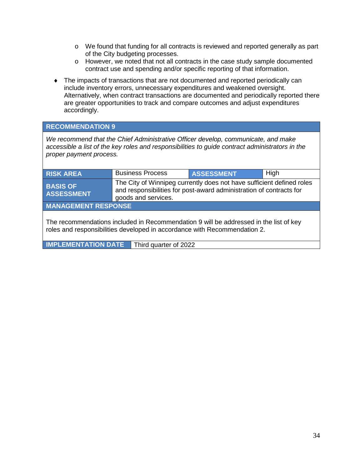- o We found that funding for all contracts is reviewed and reported generally as part of the City budgeting processes.
- o However, we noted that not all contracts in the case study sample documented contract use and spending and/or specific reporting of that information.
- ♦ The impacts of transactions that are not documented and reported periodically can include inventory errors, unnecessary expenditures and weakened oversight. Alternatively, when contract transactions are documented and periodically reported there are greater opportunities to track and compare outcomes and adjust expenditures accordingly.

#### **RECOMMENDATION 9**

*We recommend that the Chief Administrative Officer develop, communicate, and make accessible a list of the key roles and responsibilities to guide contract administrators in the proper payment process.*

| <b>RISK AREA</b>                                                                                                                                                   | <b>Business Process</b>                                                                                                                                             | <b>ASSESSMENT</b> | High |  |  |
|--------------------------------------------------------------------------------------------------------------------------------------------------------------------|---------------------------------------------------------------------------------------------------------------------------------------------------------------------|-------------------|------|--|--|
| <b>BASIS OF</b><br><b>ASSESSMENT</b>                                                                                                                               | The City of Winnipeg currently does not have sufficient defined roles<br>and responsibilities for post-award administration of contracts for<br>goods and services. |                   |      |  |  |
| <b>MANAGEMENT RESPONSE</b>                                                                                                                                         |                                                                                                                                                                     |                   |      |  |  |
| The recommendations included in Recommendation 9 will be addressed in the list of key<br>roles and responsibilities developed in accordance with Recommendation 2. |                                                                                                                                                                     |                   |      |  |  |
| <b>IMPLEMENTATION DATE</b>                                                                                                                                         | Third quarter of 2022                                                                                                                                               |                   |      |  |  |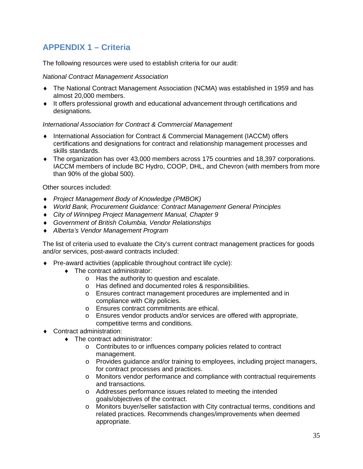## **APPENDIX 1 – Criteria**

The following resources were used to establish criteria for our audit:

#### *National Contract Management Association*

- ♦ The National Contract Management Association (NCMA) was established in 1959 and has almost 20,000 members.
- ♦ It offers professional growth and educational advancement through certifications and designations.

#### *International Association for Contract & Commercial Management*

- ♦ International Association for Contract & Commercial Management (IACCM) offers certifications and designations for contract and relationship management processes and skills standards.
- ♦ The organization has over 43,000 members across 175 countries and 18,397 corporations. IACCM members of include BC Hydro, COOP, DHL, and Chevron (with members from more than 90% of the global 500).

Other sources included:

- ♦ *Project Management Body of Knowledge (PMBOK)*
- ♦ *World Bank, Procurement Guidance: Contract Management General Principles*
- ♦ *City of Winnipeg Project Management Manual, Chapter 9*
- ♦ *Government of British Columbia, Vendor Relationships*
- ♦ *Alberta's Vendor Management Program*

The list of criteria used to evaluate the City's current contract management practices for goods and/or services, post-award contracts included:

- ♦ Pre-award activities (applicable throughout contract life cycle):
	- ♦ The contract administrator:
		- o Has the authority to question and escalate.
		- o Has defined and documented roles & responsibilities.
		- o Ensures contract management procedures are implemented and in compliance with City policies.
		- o Ensures contract commitments are ethical.
		- o Ensures vendor products and/or services are offered with appropriate, competitive terms and conditions.
- ♦ Contract administration:
	- The contract administrator:
		- o Contributes to or influences company policies related to contract management.
		- o Provides guidance and/or training to employees, including project managers, for contract processes and practices.
		- o Monitors vendor performance and compliance with contractual requirements and transactions.
		- o Addresses performance issues related to meeting the intended goals/objectives of the contract.
		- o Monitors buyer/seller satisfaction with City contractual terms, conditions and related practices. Recommends changes/improvements when deemed appropriate.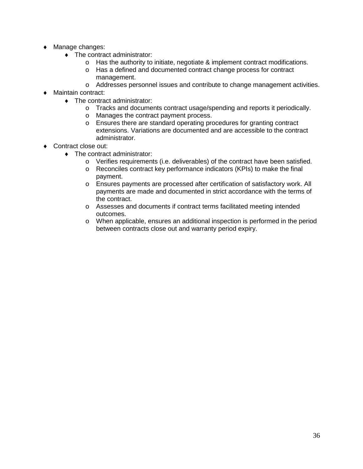- ♦ Manage changes:
	- ♦ The contract administrator:
		- $\circ$  Has the authority to initiate, negotiate & implement contract modifications.
		- o Has a defined and documented contract change process for contract management.
		- o Addresses personnel issues and contribute to change management activities.
- ♦ Maintain contract:
	- ♦ The contract administrator:
		- o Tracks and documents contract usage/spending and reports it periodically.<br>
		o Manages the contract payment process.
		- Manages the contract payment process.
		- o Ensures there are standard operating procedures for granting contract extensions. Variations are documented and are accessible to the contract administrator.
- ♦ Contract close out:
	- ♦ The contract administrator:
		- o Verifies requirements (i.e. deliverables) of the contract have been satisfied.<br>
		Reconciles contract key performance indicators (KPIs) to make the final
		- Reconciles contract key performance indicators (KPIs) to make the final payment.
		- o Ensures payments are processed after certification of satisfactory work. All payments are made and documented in strict accordance with the terms of the contract.
		- o Assesses and documents if contract terms facilitated meeting intended outcomes.
		- o When applicable, ensures an additional inspection is performed in the period between contracts close out and warranty period expiry.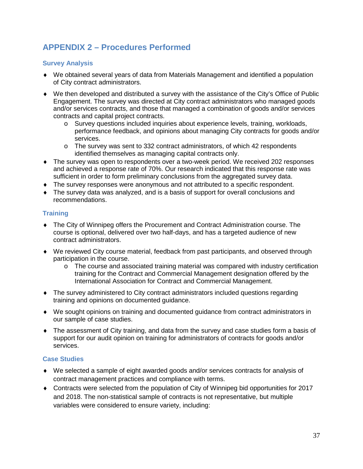## **APPENDIX 2 – Procedures Performed**

#### **Survey Analysis**

- ♦ We obtained several years of data from Materials Management and identified a population of City contract administrators.
- ♦ We then developed and distributed a survey with the assistance of the City's Office of Public Engagement. The survey was directed at City contract administrators who managed goods and/or services contracts, and those that managed a combination of goods and/or services contracts and capital project contracts.
	- o Survey questions included inquiries about experience levels, training, workloads, performance feedback, and opinions about managing City contracts for goods and/or services.
	- o The survey was sent to 332 contract administrators, of which 42 respondents identified themselves as managing capital contracts only.
- The survey was open to respondents over a two-week period. We received 202 responses and achieved a response rate of 70%. Our research indicated that this response rate was sufficient in order to form preliminary conclusions from the aggregated survey data.
- ♦ The survey responses were anonymous and not attributed to a specific respondent.
- ♦ The survey data was analyzed, and is a basis of support for overall conclusions and recommendations.

#### **Training**

- ♦ The City of Winnipeg offers the Procurement and Contract Administration course. The course is optional, delivered over two half-days, and has a targeted audience of new contract administrators.
- ♦ We reviewed City course material, feedback from past participants, and observed through participation in the course.
	- $\circ$  The course and associated training material was compared with industry certification training for the Contract and Commercial Management designation offered by the International Association for Contract and Commercial Management.
- ♦ The survey administered to City contract administrators included questions regarding training and opinions on documented guidance.
- ♦ We sought opinions on training and documented guidance from contract administrators in our sample of case studies.
- ♦ The assessment of City training, and data from the survey and case studies form a basis of support for our audit opinion on training for administrators of contracts for goods and/or services.

#### **Case Studies**

- ♦ We selected a sample of eight awarded goods and/or services contracts for analysis of contract management practices and compliance with terms.
- ♦ Contracts were selected from the population of City of Winnipeg bid opportunities for 2017 and 2018. The non-statistical sample of contracts is not representative, but multiple variables were considered to ensure variety, including: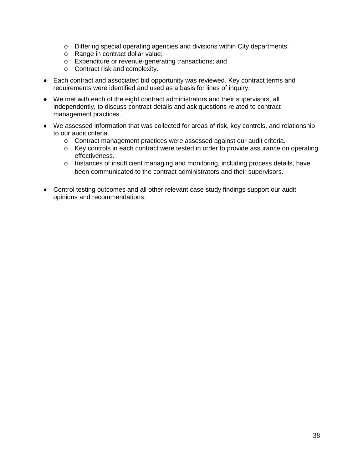- o Differing special operating agencies and divisions within City departments;
- o Range in contract dollar value;
- o Expenditure or revenue-generating transactions; and
- o Contract risk and complexity.
- ♦ Each contract and associated bid opportunity was reviewed. Key contract terms and requirements were identified and used as a basis for lines of inquiry.
- ♦ We met with each of the eight contract administrators and their supervisors, all independently, to discuss contract details and ask questions related to contract management practices.
- ♦ We assessed information that was collected for areas of risk, key controls, and relationship to our audit criteria.
	- o Contract management practices were assessed against our audit criteria.
	- o Key controls in each contract were tested in order to provide assurance on operating effectiveness.
	- $\circ$  Instances of insufficient managing and monitoring, including process details, have been communicated to the contract administrators and their supervisors.
- ♦ Control testing outcomes and all other relevant case study findings support our audit opinions and recommendations.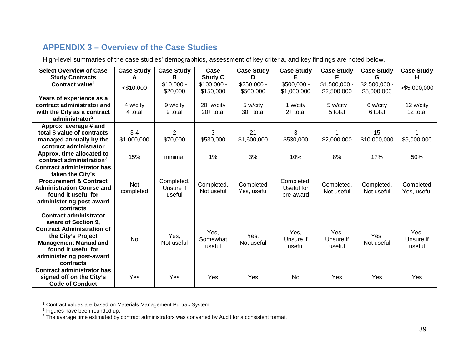## <span id="page-38-2"></span><span id="page-38-1"></span><span id="page-38-0"></span>**APPENDIX 3 – Overview of the Case Studies**

High-level summaries of the case studies' demographics, assessment of key criteria, and key findings are noted below.

| <b>Select Overview of Case</b><br><b>Study Contracts</b>                                                                                                                                                        | <b>Case Study</b><br>A  | <b>Case Study</b><br>в            | Case<br><b>Study C</b>     | <b>Case Study</b><br>D    | <b>Case Study</b>                     | <b>Case Study</b><br>F        | <b>Case Study</b><br>G        | <b>Case Study</b><br>н.     |
|-----------------------------------------------------------------------------------------------------------------------------------------------------------------------------------------------------------------|-------------------------|-----------------------------------|----------------------------|---------------------------|---------------------------------------|-------------------------------|-------------------------------|-----------------------------|
| Contract value <sup>1</sup>                                                                                                                                                                                     | $<$ \$10,000            | $$10,000 -$<br>\$20,000           | $$100,000 -$<br>\$150,000  | $$250,000 -$<br>\$500,000 | $$500,000 -$<br>\$1,000,000           | $$1,500,000$ .<br>\$2,500,000 | $$2,500,000 -$<br>\$5,000,000 | >\$5,000,000                |
| Years of experience as a<br>contract administrator and<br>with the City as a contract<br>administrator <sup>2</sup>                                                                                             | 4 w/city<br>4 total     | 9 w/city<br>9 total               | 20+w/city<br>$20+$ total   | 5 w/city<br>$30+$ total   | 1 w/city<br>$2+$ total                | 5 w/city<br>5 total           | 6 w/city<br>6 total           | 12 w/city<br>12 total       |
| Approx. average # and<br>total \$ value of contracts<br>managed annually by the<br>contract administrator                                                                                                       | $3 - 4$<br>\$1,000,000  | $\overline{2}$<br>\$70,000        | 3<br>\$530,000             | 21<br>\$1,600,000         | 3<br>\$530,000                        | \$2,000,000                   | 15<br>\$10,000,000            | \$9,000,000                 |
| Approx. time allocated to<br>contract administration <sup>3</sup>                                                                                                                                               | 15%                     | minimal                           | 1%                         | 3%                        | 10%                                   | 8%                            | 17%                           | 50%                         |
| <b>Contract administrator has</b><br>taken the City's<br><b>Procurement &amp; Contract</b><br><b>Administration Course and</b><br>found it useful for<br>administering post-award<br>contracts                  | <b>Not</b><br>completed | Completed,<br>Unsure if<br>useful | Completed,<br>Not useful   | Completed<br>Yes, useful  | Completed,<br>Useful for<br>pre-award | Completed,<br>Not useful      | Completed,<br>Not useful      | Completed<br>Yes, useful    |
| <b>Contract administrator</b><br>aware of Section 9.<br><b>Contract Administration of</b><br>the City's Project<br><b>Management Manual and</b><br>found it useful for<br>administering post-award<br>contracts | <b>No</b>               | Yes,<br>Not useful                | Yes,<br>Somewhat<br>useful | Yes,<br>Not useful        | Yes,<br>Unsure if<br>useful           | Yes,<br>Unsure if<br>useful   | Yes,<br>Not useful            | Yes,<br>Unsure if<br>useful |
| <b>Contract administrator has</b><br>signed off on the City's<br><b>Code of Conduct</b>                                                                                                                         | Yes                     | Yes                               | Yes                        | Yes                       | <b>No</b>                             | Yes                           | Yes                           | Yes                         |

 <sup>1</sup> Contract values are based on Materials Management Purtrac System.

<sup>&</sup>lt;sup>2</sup> Figures have been rounded up.

 $3$  The average time estimated by contract administrators was converted by Audit for a consistent format.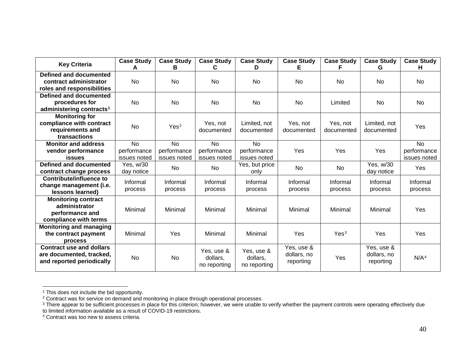<span id="page-39-3"></span><span id="page-39-2"></span><span id="page-39-1"></span><span id="page-39-0"></span>

| <b>Key Criteria</b>                  | <b>Case Study</b> | <b>Case Study</b> | <b>Case Study</b> | <b>Case Study</b> | <b>Case Study</b> | <b>Case Study</b> | <b>Case Study</b> | <b>Case Study</b> |
|--------------------------------------|-------------------|-------------------|-------------------|-------------------|-------------------|-------------------|-------------------|-------------------|
|                                      | А                 | в                 | C                 | D                 |                   |                   | G                 | н                 |
| Defined and documented               |                   |                   |                   |                   |                   |                   |                   |                   |
| contract administrator               | <b>No</b>         | No                | No                | No                | No                | No.               | No                | No                |
| roles and responsibilities           |                   |                   |                   |                   |                   |                   |                   |                   |
| Defined and documented               |                   |                   |                   |                   |                   |                   |                   |                   |
| procedures for                       | No                | No                | No                | No                | No                | Limited           | No                | <b>No</b>         |
| administering contracts <sup>1</sup> |                   |                   |                   |                   |                   |                   |                   |                   |
| <b>Monitoring for</b>                |                   |                   |                   |                   |                   |                   |                   |                   |
| compliance with contract             | <b>No</b>         | Yes <sup>2</sup>  | Yes, not          | Limited, not      | Yes, not          | Yes, not          | Limited, not      | Yes               |
| requirements and                     |                   |                   | documented        | documented        | documented        | documented        | documented        |                   |
| transactions                         |                   |                   |                   |                   |                   |                   |                   |                   |
| <b>Monitor and address</b>           | <b>No</b>         | <b>No</b>         | <b>No</b>         | <b>No</b>         |                   |                   |                   | <b>No</b>         |
| vendor performance                   | performance       | performance       | performance       | performance       | Yes               | Yes               | Yes               | performance       |
| <b>issues</b>                        | issues noted      | issues noted      | issues noted      | issues noted      |                   |                   |                   | issues noted      |
| <b>Defined and documented</b>        | Yes, w/30         | <b>No</b>         | <b>No</b>         | Yes, but price    | <b>No</b>         | No                | Yes, w/30         | Yes               |
| contract change process              | day notice        |                   |                   | only              |                   |                   | day notice        |                   |
| <b>Contribute/influence to</b>       | Informal          | Informal          | Informal          | Informal          | Informal          | Informal          | Informal          | Informal          |
| change management (i.e.              | process           | process           | process           | process           | process           | process           | process           | process           |
| lessons learned)                     |                   |                   |                   |                   |                   |                   |                   |                   |
| <b>Monitoring contract</b>           |                   |                   |                   |                   |                   |                   |                   |                   |
| administrator                        | Minimal           | Minimal           | Minimal           | Minimal           | Minimal           | Minimal           | Minimal           | Yes               |
| performance and                      |                   |                   |                   |                   |                   |                   |                   |                   |
| compliance with terms                |                   |                   |                   |                   |                   |                   |                   |                   |
| <b>Monitoring and managing</b>       |                   |                   |                   |                   |                   |                   |                   |                   |
| the contract payment                 | Minimal           | Yes               | Minimal           | Minimal           | Yes               | Yes <sup>3</sup>  | Yes               | Yes               |
| process                              |                   |                   |                   |                   |                   |                   |                   |                   |
| <b>Contract use and dollars</b>      |                   |                   | Yes, use &        | Yes, use &        | Yes, use &        |                   | Yes, use &        |                   |
| are documented, tracked,             | <b>No</b>         | No                | dollars,          | dollars,          | dollars, no       | Yes               | dollars, no       | N/A <sup>4</sup>  |
| and reported periodically            |                   |                   | no reporting      | no reporting      | reporting         |                   | reporting         |                   |
|                                      |                   |                   |                   |                   |                   |                   |                   |                   |

<sup>1</sup> This does not include the bid opportunity.

<sup>&</sup>lt;sup>2</sup> Contract was for service on demand and monitoring in place through operational processes.<br><sup>3</sup> There appear to be sufficient processes in place for this criterion; however, we were unable to verify whether the payment c to limited information available as a result of COVID-19 restrictions.

<sup>&</sup>lt;sup>4</sup> Contract was too new to assess criteria.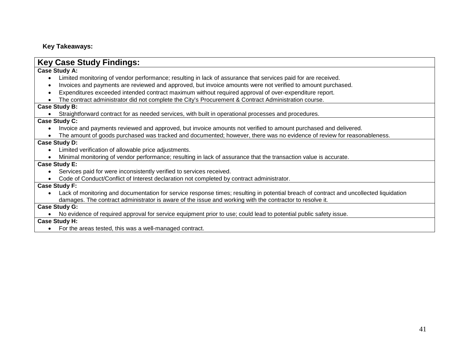#### **Key Takeaways:**

### **Key Case Study Findings:**

#### **Case Study A:**

- Limited monitoring of vendor performance; resulting in lack of assurance that services paid for are received.
- Invoices and payments are reviewed and approved, but invoice amounts were not verified to amount purchased.
- Expenditures exceeded intended contract maximum without required approval of over-expenditure report.
- The contract administrator did not complete the City's Procurement & Contract Administration course.

#### **Case Study B:**

• Straightforward contract for as needed services, with built in operational processes and procedures.

#### **Case Study C:**

- Invoice and payments reviewed and approved, but invoice amounts not verified to amount purchased and delivered.
- The amount of goods purchased was tracked and documented; however, there was no evidence of review for reasonableness.

#### **Case Study D:**

- Limited verification of allowable price adjustments.
- Minimal monitoring of vendor performance; resulting in lack of assurance that the transaction value is accurate.

#### **Case Study E:**

- Services paid for were inconsistently verified to services received.
- Code of Conduct/Conflict of Interest declaration not completed by contract administrator.

#### **Case Study F:**

• Lack of monitoring and documentation for service response times; resulting in potential breach of contract and uncollected liquidation damages. The contract administrator is aware of the issue and working with the contractor to resolve it.

#### **Case Study G:**

• No evidence of required approval for service equipment prior to use; could lead to potential public safety issue.

#### **Case Study H:**

• For the areas tested, this was a well-managed contract.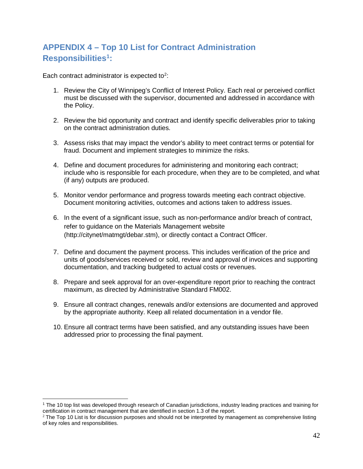## **APPENDIX 4 – Top 10 List for Contract Administration Responsibilities[1:](#page-41-0)**

Each contract administrator is expected to<sup>[2](#page-41-1)</sup>:

- 1. Review the City of Winnipeg's Conflict of Interest Policy. Each real or perceived conflict must be discussed with the supervisor, documented and addressed in accordance with the Policy.
- 2. Review the bid opportunity and contract and identify specific deliverables prior to taking on the contract administration duties.
- 3. Assess risks that may impact the vendor's ability to meet contract terms or potential for fraud. Document and implement strategies to minimize the risks.
- 4. Define and document procedures for administering and monitoring each contract; include who is responsible for each procedure, when they are to be completed, and what (if any) outputs are produced.
- 5. Monitor vendor performance and progress towards meeting each contract objective. Document monitoring activities, outcomes and actions taken to address issues.
- 6. In the event of a significant issue, such as non-performance and/or breach of contract, refer to guidance on the Materials Management website (http://citynet/matmgt/debar.stm), or directly contact a Contract Officer.
- 7. Define and document the payment process. This includes verification of the price and units of goods/services received or sold, review and approval of invoices and supporting documentation, and tracking budgeted to actual costs or revenues.
- 8. Prepare and seek approval for an over-expenditure report prior to reaching the contract maximum, as directed by Administrative Standard FM002.
- 9. Ensure all contract changes, renewals and/or extensions are documented and approved by the appropriate authority. Keep all related documentation in a vendor file.
- 10. Ensure all contract terms have been satisfied, and any outstanding issues have been addressed prior to processing the final payment.

<span id="page-41-0"></span><sup>&</sup>lt;sup>1</sup> The 10 top list was developed through research of Canadian jurisdictions, industry leading practices and training for certification in contract management that are identified in section 1.3 of the report.

<span id="page-41-1"></span> $^2$  The Top 10 List is for discussion purposes and should not be interpreted by management as comprehensive listing of key roles and responsibilities.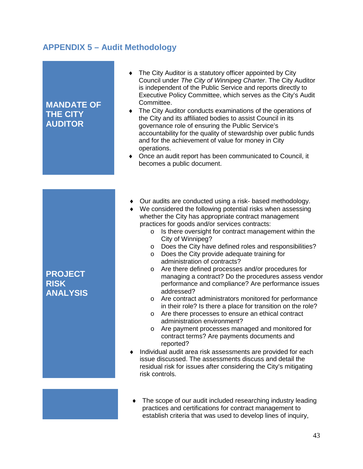## **APPENDIX 5 – Audit Methodology**

#### **MANDATE OF THE CITY AUDITOR** The City Auditor is a statutory officer appointed by City Council under *The City of Winnipeg Charter*. The City Auditor is independent of the Public Service and reports directly to Executive Policy Committee, which serves as the City's Audit Committee. ♦ The City Auditor conducts examinations of the operations of the City and its affiliated bodies to assist Council in its governance role of ensuring the Public Service's accountability for the quality of stewardship over public funds and for the achievement of value for money in City operations. ♦ Once an audit report has been communicated to Council, it becomes a public document. **PROJECT RISK ANALYSIS** ♦ Our audits are conducted using a risk- based methodology. ♦ We considered the following potential risks when assessing whether the City has appropriate contract management practices for goods and/or services contracts: o Is there oversight for contract management within the City of Winnipeg? o Does the City have defined roles and responsibilities? o Does the City provide adequate training for administration of contracts? o Are there defined processes and/or procedures for managing a contract? Do the procedures assess vendor performance and compliance? Are performance issues addressed? o Are contract administrators monitored for performance in their role? Is there a place for transition on the role? o Are there processes to ensure an ethical contract administration environment? o Are payment processes managed and monitored for contract terms? Are payments documents and reported? Individual audit area risk assessments are provided for each issue discussed. The assessments discuss and detail the residual risk for issues after considering the City's mitigating risk controls.

♦ The scope of our audit included researching industry leading practices and certifications for contract management to establish criteria that was used to develop lines of inquiry,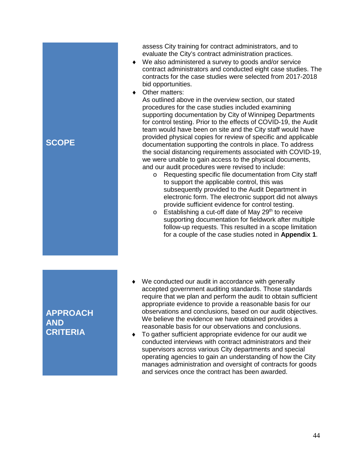assess City training for contract administrators, and to evaluate the City's contract administration practices.

- ♦ We also administered a survey to goods and/or service contract administrators and conducted eight case studies. The contracts for the case studies were selected from 2017-2018 bid opportunities.
- ♦ Other matters:

As outlined above in the overview section, our stated procedures for the case studies included examining supporting documentation by City of Winnipeg Departments for control testing. Prior to the effects of COVID-19, the Audit team would have been on site and the City staff would have provided physical copies for review of specific and applicable documentation supporting the controls in place. To address the social distancing requirements associated with COVID-19, we were unable to gain access to the physical documents, and our audit procedures were revised to include:

- o Requesting specific file documentation from City staff to support the applicable control, this was subsequently provided to the Audit Department in electronic form. The electronic support did not always provide sufficient evidence for control testing.
- $\circ$  Establishing a cut-off date of May 29<sup>th</sup> to receive supporting documentation for fieldwork after multiple follow-up requests. This resulted in a scope limitation for a couple of the case studies noted in **Appendix 1**.

### **APPROACH AND CRITERIA**

**SCOPE**

- ♦ We conducted our audit in accordance with generally accepted government auditing standards. Those standards require that we plan and perform the audit to obtain sufficient appropriate evidence to provide a reasonable basis for our observations and conclusions, based on our audit objectives. We believe the evidence we have obtained provides a reasonable basis for our observations and conclusions.
- ♦ To gather sufficient appropriate evidence for our audit we conducted interviews with contract administrators and their supervisors across various City departments and special operating agencies to gain an understanding of how the City manages administration and oversight of contracts for goods and services once the contract has been awarded.

44